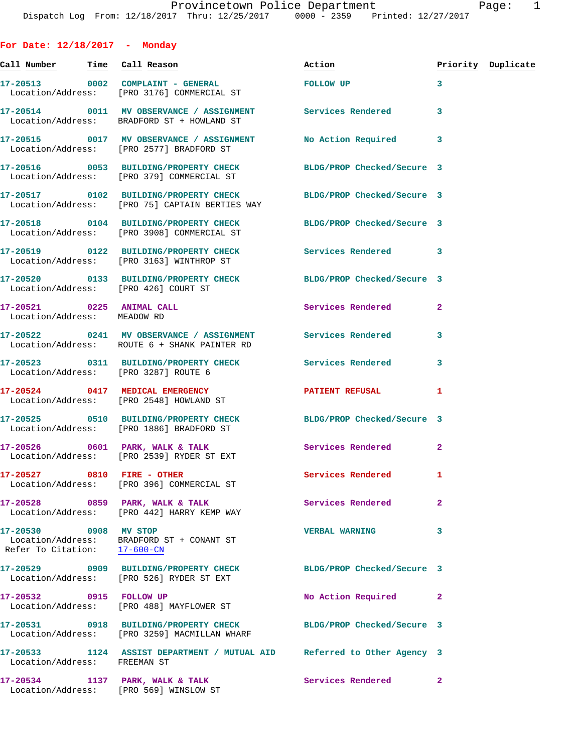**For Date: 12/18/2017 - Monday Call Number Time Call Reason Action Priority Duplicate 17-20513 0002 COMPLAINT - GENERAL FOLLOW UP 3**  Location/Address: [PRO 3176] COMMERCIAL ST **17-20514 0011 MV OBSERVANCE / ASSIGNMENT Services Rendered 3**  Location/Address: BRADFORD ST + HOWLAND ST **17-20515 0017 MV OBSERVANCE / ASSIGNMENT No Action Required 3**  Location/Address: [PRO 2577] BRADFORD ST **17-20516 0053 BUILDING/PROPERTY CHECK BLDG/PROP Checked/Secure 3**  Location/Address: [PRO 379] COMMERCIAL ST **17-20517 0102 BUILDING/PROPERTY CHECK BLDG/PROP Checked/Secure 3**  Location/Address: [PRO 75] CAPTAIN BERTIES WAY **17-20518 0104 BUILDING/PROPERTY CHECK BLDG/PROP Checked/Secure 3**  Location/Address: [PRO 3908] COMMERCIAL ST **17-20519 0122 BUILDING/PROPERTY CHECK Services Rendered 3**  Location/Address: [PRO 3163] WINTHROP ST **17-20520 0133 BUILDING/PROPERTY CHECK BLDG/PROP Checked/Secure 3**  Location/Address: [PRO 426] COURT ST **17-20521 0225 ANIMAL CALL Services Rendered 2**  Location/Address: MEADOW RD **17-20522 0241 MV OBSERVANCE / ASSIGNMENT Services Rendered 3**  Location/Address: ROUTE 6 + SHANK PAINTER RD **17-20523 0311 BUILDING/PROPERTY CHECK Services Rendered 3**  Location/Address: [PRO 3287] ROUTE 6 **17-20524 0417 MEDICAL EMERGENCY PATIENT REFUSAL 1**  Location/Address: [PRO 2548] HOWLAND ST **17-20525 0510 BUILDING/PROPERTY CHECK BLDG/PROP Checked/Secure 3**  Location/Address: [PRO 1886] BRADFORD ST 17-20526 0601 PARK, WALK & TALK Services Rendered 2 Location/Address: [PRO 2539] RYDER ST EXT **17-20527 0810 FIRE - OTHER Services Rendered 1**  Location/Address: [PRO 396] COMMERCIAL ST **17-20528 0859 PARK, WALK & TALK Services Rendered 2**  Location/Address: [PRO 442] HARRY KEMP WAY **17-20530 0908 MV STOP VERBAL WARNING 3**  Location/Address: BRADFORD ST + CONANT ST Refer To Citation: 17-600-CN **17-20529 0909 BUILDING/PROPERTY CHECK BLDG/PROP Checked/Secure 3**  Location/Address: [PRO 526] RYDER ST EXT **17-20532 0915 FOLLOW UP No Action Required 2**  Location/Address: [PRO 488] MAYFLOWER ST **17-20531 0918 BUILDING/PROPERTY CHECK BLDG/PROP Checked/Secure 3**  Location/Address: [PRO 3259] MACMILLAN WHARF **17-20533 1124 ASSIST DEPARTMENT / MUTUAL AID Referred to Other Agency 3**  Location/Address: FREEMAN ST

**17-20534 1137 PARK, WALK & TALK Services Rendered 2**  Location/Address: [PRO 569] WINSLOW ST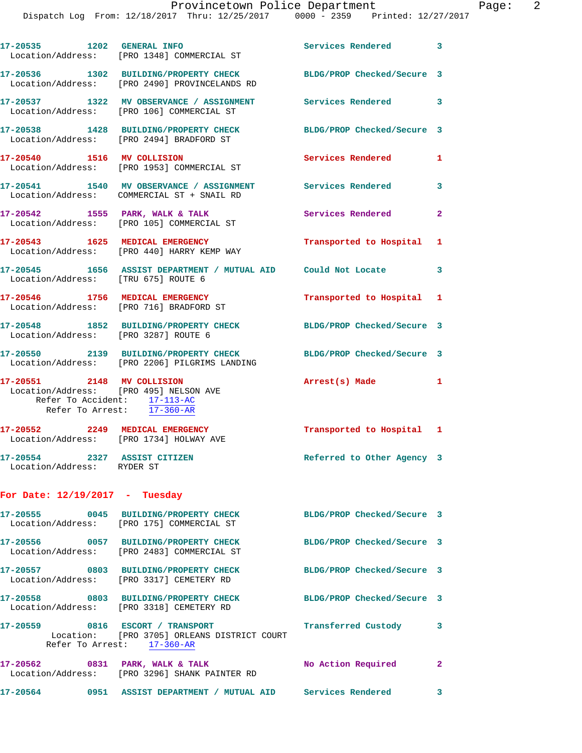|                                                                                          | 17-20535 1202 GENERAL INFO<br>Location/Address: [PRO 1348] COMMERCIAL ST                                                                           | Services Rendered 3        |              |
|------------------------------------------------------------------------------------------|----------------------------------------------------------------------------------------------------------------------------------------------------|----------------------------|--------------|
|                                                                                          | 17-20536 1302 BUILDING/PROPERTY CHECK BLDG/PROP Checked/Secure 3<br>Location/Address: [PRO 2490] PROVINCELANDS RD                                  |                            |              |
|                                                                                          | 17-20537 1322 MV OBSERVANCE / ASSIGNMENT<br>Location/Address: [PRO 106] COMMERCIAL ST                                                              | Services Rendered 3        |              |
|                                                                                          | 17-20538 1428 BUILDING/PROPERTY CHECK<br>Location/Address: [PRO 2494] BRADFORD ST                                                                  | BLDG/PROP Checked/Secure 3 |              |
| 17-20540 1516 MV COLLISION                                                               | Location/Address: [PRO 1953] COMMERCIAL ST                                                                                                         | <b>Services Rendered</b>   | 1            |
|                                                                                          | 17-20541 1540 MV OBSERVANCE / ASSIGNMENT Services Rendered<br>Location/Address: COMMERCIAL ST + SNAIL RD                                           |                            | 3            |
|                                                                                          | 17-20542 1555 PARK, WALK & TALK<br>Location/Address: [PRO 105] COMMERCIAL ST                                                                       | Services Rendered          | $\mathbf{2}$ |
|                                                                                          | 17-20543 1625 MEDICAL EMERGENCY<br>Location/Address: [PRO 440] HARRY KEMP WAY                                                                      | Transported to Hospital 1  |              |
| Location/Address: [TRU 675] ROUTE 6                                                      | 17-20545 1656 ASSIST DEPARTMENT / MUTUAL AID Could Not Locate 3                                                                                    |                            |              |
|                                                                                          | 17-20546 1756 MEDICAL EMERGENCY<br>Location/Address: [PRO 716] BRADFORD ST                                                                         | Transported to Hospital 1  |              |
| Location/Address: [PRO 3287] ROUTE 6                                                     | 17-20548 1852 BUILDING/PROPERTY CHECK BLDG/PROP Checked/Secure 3                                                                                   |                            |              |
|                                                                                          | 17-20550 2139 BUILDING/PROPERTY CHECK BLDG/PROP Checked/Secure 3<br>Location/Address: [PRO 2206] PILGRIMS LANDING                                  |                            |              |
| 17-20551 2148 MV COLLISION<br>Refer To Accident: 17-113-AC<br>Refer To Arrest: 17-360-AR | Location/Address: [PRO 495] NELSON AVE                                                                                                             | Arrest(s) Made 1           |              |
| 17-20552 2249 MEDICAL EMERGENCY                                                          | Location/Address: [PRO 1734] HOLWAY AVE                                                                                                            | Transported to Hospital 1  |              |
| 17-20554 2327 ASSIST CITIZEN<br>Location/Address: RYDER ST                               |                                                                                                                                                    | Referred to Other Agency 3 |              |
| For Date: $12/19/2017$ - Tuesday                                                         |                                                                                                                                                    |                            |              |
|                                                                                          | 17-20555 0045 BUILDING/PROPERTY CHECK BLDG/PROP Checked/Secure 3<br>Location/Address: [PRO 175] COMMERCIAL ST                                      |                            |              |
|                                                                                          | 17-20556 0057 BUILDING/PROPERTY CHECK<br>Location/Address: [PRO 2483] COMMERCIAL ST                                                                | BLDG/PROP Checked/Secure 3 |              |
|                                                                                          | 17-20557 0803 BUILDING/PROPERTY CHECK BLDG/PROP Checked/Secure 3<br>Location/Address: [PRO 3317] CEMETERY RD                                       |                            |              |
|                                                                                          | 17-20558 0803 BUILDING/PROPERTY CHECK<br>Location/Address: [PRO 3318] CEMETERY RD                                                                  | BLDG/PROP Checked/Secure 3 |              |
|                                                                                          | 17-20559 0816 ESCORT / TRANSPORT <b>Francis</b> Transferred Custody 3<br>Location: [PRO 3705] ORLEANS DISTRICT COURT<br>Refer To Arrest: 17-360-AR |                            |              |
|                                                                                          | 17-20562 0831 PARK, WALK & TALK<br>Location/Address: [PRO 3296] SHANK PAINTER RD                                                                   | No Action Required         | $\mathbf{2}$ |
|                                                                                          | 17-20564 0951 ASSIST DEPARTMENT / MUTUAL AID Services Rendered 3                                                                                   |                            |              |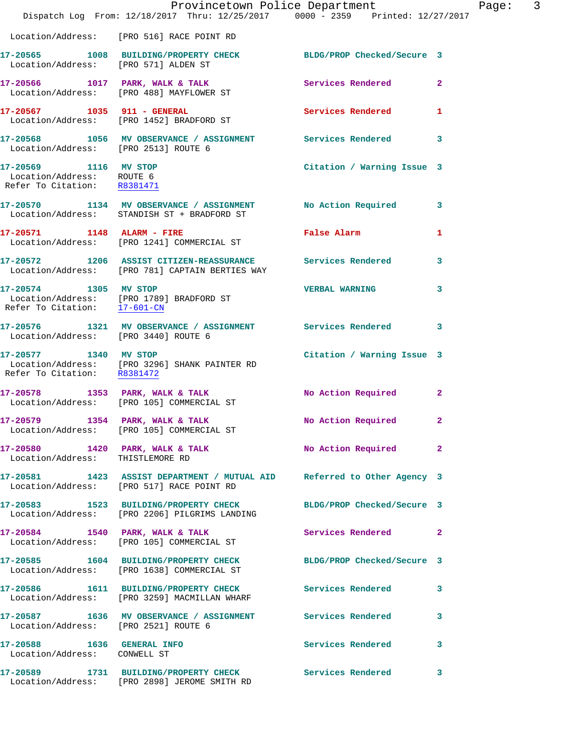|                                                                                   | Dispatch Log From: 12/18/2017 Thru: 12/25/2017 0000 - 2359 Printed: 12/27/2017                                       | Provincetown Police Department | Page: 3      |
|-----------------------------------------------------------------------------------|----------------------------------------------------------------------------------------------------------------------|--------------------------------|--------------|
|                                                                                   | Location/Address: [PRO 516] RACE POINT RD                                                                            |                                |              |
| Location/Address: [PRO 571] ALDEN ST                                              | 17-20565 1008 BUILDING/PROPERTY CHECK BLDG/PROP Checked/Secure 3                                                     |                                |              |
|                                                                                   | 17-20566 1017 PARK, WALK & TALK<br>Location/Address: [PRO 488] MAYFLOWER ST                                          | Services Rendered 2            |              |
| 17-20567 1035 911 - GENERAL                                                       | Location/Address: [PRO 1452] BRADFORD ST                                                                             | Services Rendered 1            |              |
|                                                                                   | 17-20568 1056 MV OBSERVANCE / ASSIGNMENT Services Rendered 3<br>Location/Address: [PRO 2513] ROUTE 6                 |                                |              |
| 17-20569 1116 MV STOP<br>Location/Address: ROUTE 6<br>Refer To Citation: R8381471 |                                                                                                                      | Citation / Warning Issue 3     |              |
|                                                                                   | 17-20570 1134 MV OBSERVANCE / ASSIGNMENT No Action Required 3<br>Location/Address: STANDISH ST + BRADFORD ST         |                                |              |
|                                                                                   | 17-20571 1148 ALARM - FIRE<br>Location/Address: [PRO 1241] COMMERCIAL ST                                             | <b>False Alarm</b>             | $\mathbf{1}$ |
|                                                                                   | 17-20572 1206 ASSIST CITIZEN-REASSURANCE Services Rendered 3<br>Location/Address: [PRO 781] CAPTAIN BERTIES WAY      |                                |              |
| 17-20574 1305 MV STOP                                                             | Location/Address: [PRO 1789] BRADFORD ST<br>Refer To Citation: $\frac{17-601-CN}{2}$                                 | <b>VERBAL WARNING</b>          | 3            |
|                                                                                   | 17-20576 1321 MV OBSERVANCE / ASSIGNMENT Services Rendered 3<br>Location/Address: [PRO 3440] ROUTE 6                 |                                |              |
|                                                                                   | 17-20577 1340 MV STOP<br>Location/Address: [PRO 3296] SHANK PAINTER RD<br>Refer To Citation: R8381472                | Citation / Warning Issue 3     |              |
|                                                                                   | 17-20578 1353 PARK, WALK & TALK<br>Location/Address: [PRO 105] COMMERCIAL ST                                         | No Action Required 2           |              |
|                                                                                   | 17-20579 1354 PARK, WALK & TALK<br>Location/Address: [PRO 105] COMMERCIAL ST                                         | No Action Required 2           |              |
| Location/Address: THISTLEMORE RD                                                  | 17-20580 1420 PARK, WALK & TALK NO Action Required 2                                                                 |                                |              |
|                                                                                   | 17-20581 1423 ASSIST DEPARTMENT / MUTUAL AID Referred to Other Agency 3<br>Location/Address: [PRO 517] RACE POINT RD |                                |              |
|                                                                                   | 17-20583 1523 BUILDING/PROPERTY CHECK BLDG/PROP Checked/Secure 3<br>Location/Address: [PRO 2206] PILGRIMS LANDING    |                                |              |
|                                                                                   | 17-20584 1540 PARK, WALK & TALK<br>Location/Address: [PRO 105] COMMERCIAL ST                                         | Services Rendered 2            |              |
|                                                                                   | 17-20585 1604 BUILDING/PROPERTY CHECK BLDG/PROP Checked/Secure 3<br>Location/Address: [PRO 1638] COMMERCIAL ST       |                                |              |
|                                                                                   | 17-20586 1611 BUILDING/PROPERTY CHECK Services Rendered<br>Location/Address: [PRO 3259] MACMILLAN WHARF              |                                | 3            |
| Location/Address: [PRO 2521] ROUTE 6                                              | 17-20587 1636 MV OBSERVANCE / ASSIGNMENT Services Rendered                                                           |                                | $\mathbf{3}$ |
| 17-20588    1636    GENERAL INFO<br>Location/Address: CONWELL ST                  |                                                                                                                      | Services Rendered 3            |              |
|                                                                                   | 17-20589 1731 BUILDING/PROPERTY CHECK Services Rendered 3<br>Location/Address: [PRO 2898] JEROME SMITH RD            |                                |              |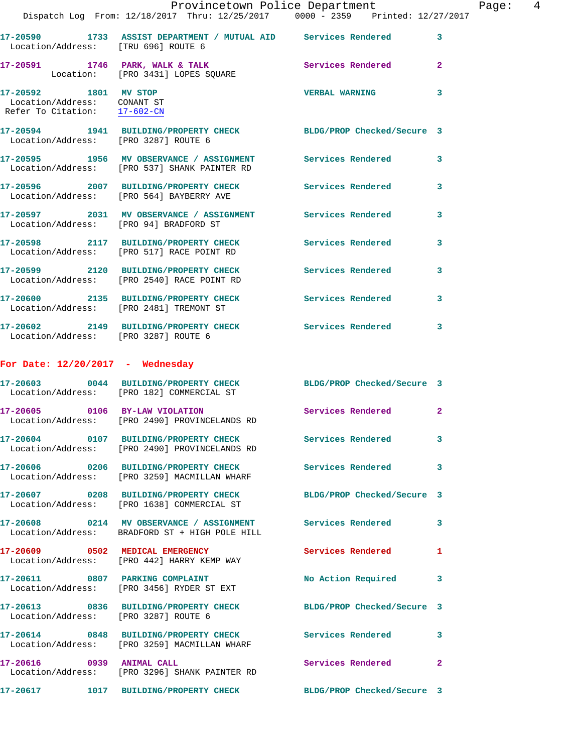|                                                                                                  | Provincetown Police Department                                                                                 |                          |                |
|--------------------------------------------------------------------------------------------------|----------------------------------------------------------------------------------------------------------------|--------------------------|----------------|
|                                                                                                  | Dispatch Log From: 12/18/2017 Thru: 12/25/2017 0000 - 2359 Printed: 12/27/2017                                 |                          |                |
| Location/Address: [TRU 696] ROUTE 6                                                              | 17-20590 1733 ASSIST DEPARTMENT / MUTUAL AID Services Rendered                                                 |                          | 3              |
|                                                                                                  | 17-20591 1746 PARK, WALK & TALK Services Rendered<br>Location: [PRO 3431] LOPES SQUARE                         |                          | $\mathbf{2}$   |
| 17-20592 1801 MV STOP<br>Location/Address: CONANT ST<br>Refer To Citation: $\frac{17-602-CN}{2}$ |                                                                                                                | <b>VERBAL WARNING</b>    | 3              |
| Location/Address: [PRO 3287] ROUTE 6                                                             | 17-20594 1941 BUILDING/PROPERTY CHECK BLDG/PROP Checked/Secure 3                                               |                          |                |
|                                                                                                  | 17-20595 1956 MV OBSERVANCE / ASSIGNMENT Services Rendered<br>Location/Address: [PRO 537] SHANK PAINTER RD     |                          | 3              |
|                                                                                                  | 17-20596 2007 BUILDING/PROPERTY CHECK Services Rendered<br>Location/Address: [PRO 564] BAYBERRY AVE            |                          | 3              |
| Location/Address: [PRO 94] BRADFORD ST                                                           | 17-20597 2031 MV OBSERVANCE / ASSIGNMENT Services Rendered                                                     |                          | 3              |
|                                                                                                  | 17-20598 2117 BUILDING/PROPERTY CHECK<br>Location/Address: [PRO 517] RACE POINT RD                             | Services Rendered        | 3              |
|                                                                                                  | 17-20599 2120 BUILDING/PROPERTY CHECK Services Rendered<br>Location/Address: [PRO 2540] RACE POINT RD          |                          | 3              |
|                                                                                                  | 17-20600 2135 BUILDING/PROPERTY CHECK<br>Location/Address: [PRO 2481] TREMONT ST                               | <b>Services Rendered</b> | 3              |
| Location/Address: [PRO 3287] ROUTE 6                                                             | 17-20602 2149 BUILDING/PROPERTY CHECK Services Rendered                                                        |                          | 3              |
| For Date: $12/20/2017$ - Wednesday                                                               |                                                                                                                |                          |                |
|                                                                                                  | 17-20603 0044 BUILDING/PROPERTY CHECK BLDG/PROP Checked/Secure 3<br>Location/Address: [PRO 182] COMMERCIAL ST  |                          |                |
|                                                                                                  | 17-20605 0106 BY-LAW VIOLATION<br>Location/Address: [PRO 2490] PROVINCELANDS RD                                | Services Rendered        | $\overline{2}$ |
|                                                                                                  | 17-20604 0107 BUILDING/PROPERTY CHECK Services Rendered<br>Location/Address: [PRO 2490] PROVINCELANDS RD       |                          | 3              |
|                                                                                                  | 17-20606 0206 BUILDING/PROPERTY CHECK<br>Location/Address: [PRO 3259] MACMILLAN WHARF                          | Services Rendered        | 3              |
|                                                                                                  | 17-20607 0208 BUILDING/PROPERTY CHECK BLDG/PROP Checked/Secure 3<br>Location/Address: [PRO 1638] COMMERCIAL ST |                          |                |
|                                                                                                  | 17-20608 0214 MV OBSERVANCE / ASSIGNMENT Services Rendered<br>Location/Address: BRADFORD ST + HIGH POLE HILL   |                          | 3              |
|                                                                                                  | 17-20609 0502 MEDICAL EMERGENCY<br>Location/Address: [PRO 442] HARRY KEMP WAY                                  | Services Rendered        | $\mathbf{1}$   |
|                                                                                                  | 17-20611 0807 PARKING COMPLAINT<br>Location/Address: [PRO 3456] RYDER ST EXT                                   | No Action Required       | 3              |
| Location/Address: [PRO 3287] ROUTE 6                                                             | 17-20613 0836 BUILDING/PROPERTY CHECK BLDG/PROP Checked/Secure 3                                               |                          |                |
|                                                                                                  | 17-20614 0848 BUILDING/PROPERTY CHECK Services Rendered<br>Location/Address: [PRO 3259] MACMILLAN WHARF        |                          | 3              |
| 17-20616 0939 ANIMAL CALL                                                                        | Location/Address: [PRO 3296] SHANK PAINTER RD                                                                  | Services Rendered        | $\mathbf{2}$   |
|                                                                                                  | 17-20617 1017 BUILDING/PROPERTY CHECK BLDG/PROP Checked/Secure 3                                               |                          |                |

Page: 4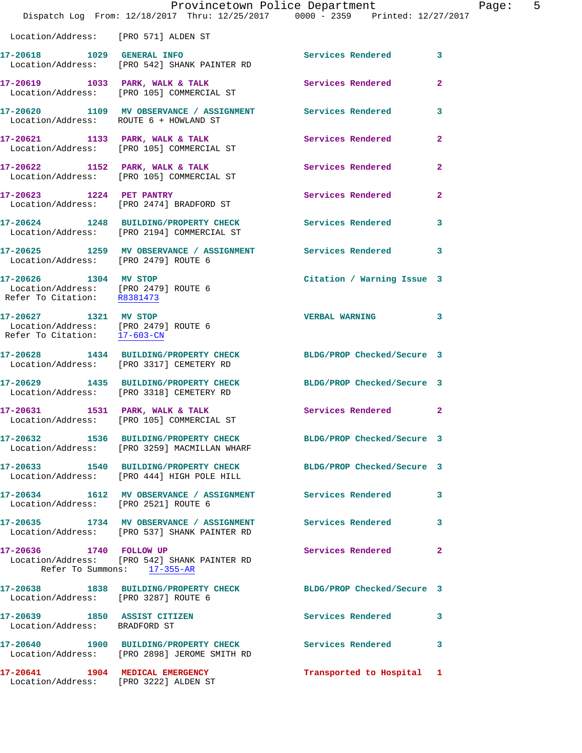|                                                                                               | Provincetown Police Department<br>Dispatch Log From: 12/18/2017 Thru: 12/25/2017 0000 - 2359 Printed: 12/27/2017 |                            |                |
|-----------------------------------------------------------------------------------------------|------------------------------------------------------------------------------------------------------------------|----------------------------|----------------|
| Location/Address: [PRO 571] ALDEN ST                                                          |                                                                                                                  |                            |                |
|                                                                                               |                                                                                                                  | <b>Services Rendered</b>   | 3              |
|                                                                                               | 17-20619 1033 PARK, WALK & TALK<br>Location/Address: [PRO 105] COMMERCIAL ST                                     | Services Rendered          | $\mathbf{2}$   |
| Location/Address: ROUTE 6 + HOWLAND ST                                                        | 17-20620 1109 MV OBSERVANCE / ASSIGNMENT Services Rendered                                                       |                            | 3              |
|                                                                                               | $17-20621$ 1133 PARK, WALK & TALK<br>Location/Address: [PRO 105] COMMERCIAL ST                                   | <b>Services Rendered</b>   | $\mathbf{2}$   |
|                                                                                               | $17-20622$ 1152 PARK, WALK & TALK<br>Location/Address: [PRO 105] COMMERCIAL ST                                   | <b>Services Rendered</b>   | $\overline{2}$ |
|                                                                                               | 17-20623 1224 PET PANTRY<br>Location/Address: [PRO 2474] BRADFORD ST                                             | Services Rendered          | $\overline{2}$ |
|                                                                                               | 17-20624 1248 BUILDING/PROPERTY CHECK Services Rendered<br>Location/Address: [PRO 2194] COMMERCIAL ST            |                            | 3              |
| Location/Address: [PRO 2479] ROUTE 6                                                          | 17-20625 1259 MV OBSERVANCE / ASSIGNMENT Services Rendered                                                       |                            | 3              |
| 17-20626 1304 MV STOP<br>Location/Address: [PRO 2479] ROUTE 6<br>Refer To Citation: R8381473  |                                                                                                                  | Citation / Warning Issue 3 |                |
| 17-20627 1321 MV STOP<br>Location/Address: [PRO 2479] ROUTE 6<br>Refer To Citation: 17-603-CN |                                                                                                                  | <b>VERBAL WARNING</b>      | 3              |
|                                                                                               | 17-20628 1434 BUILDING/PROPERTY CHECK<br>Location/Address: [PRO 3317] CEMETERY RD                                | BLDG/PROP Checked/Secure 3 |                |
| 17-20629                                                                                      | 1435 BUILDING/PROPERTY CHECK BLDG/PROP Checked/Secure 3<br>Location/Address: [PRO 3318] CEMETERY RD              |                            |                |
|                                                                                               | 17-20631 1531 PARK, WALK & TALK<br>Location/Address: [PRO 105] COMMERCIAL ST                                     | <b>Services Rendered</b>   | 2              |
|                                                                                               | 17-20632 1536 BUILDING/PROPERTY CHECK<br>Location/Address: [PRO 3259] MACMILLAN WHARF                            | BLDG/PROP Checked/Secure 3 |                |
|                                                                                               | 17-20633 1540 BUILDING/PROPERTY CHECK BLDG/PROP Checked/Secure 3<br>Location/Address: [PRO 444] HIGH POLE HILL   |                            |                |
| Location/Address: [PRO 2521] ROUTE 6                                                          | 17-20634 1612 MV OBSERVANCE / ASSIGNMENT Services Rendered                                                       |                            | 3              |
|                                                                                               | 17-20635 1734 MV OBSERVANCE / ASSIGNMENT Services Rendered<br>Location/Address: [PRO 537] SHANK PAINTER RD       |                            | 3              |
| 17-20636 1740 FOLLOW UP                                                                       | Location/Address: [PRO 542] SHANK PAINTER RD<br>Refer To Summons: 17-355-AR                                      | <b>Services Rendered</b>   | $\mathbf{2}$   |
| Location/Address: [PRO 3287] ROUTE 6                                                          | 17-20638 1838 BUILDING/PROPERTY CHECK                                                                            | BLDG/PROP Checked/Secure 3 |                |
| 17-20639 1850 ASSIST CITIZEN<br>Location/Address: BRADFORD ST                                 |                                                                                                                  | <b>Services Rendered</b>   | 3              |
|                                                                                               | 17-20640 1900 BUILDING/PROPERTY CHECK Services Rendered<br>Location/Address: [PRO 2898] JEROME SMITH RD          |                            | 3              |
| 17-20641 1904 MEDICAL EMERGENCY                                                               |                                                                                                                  | Transported to Hospital 1  |                |

Location/Address: [PRO 3222] ALDEN ST

Page:  $5<sub>17</sub>$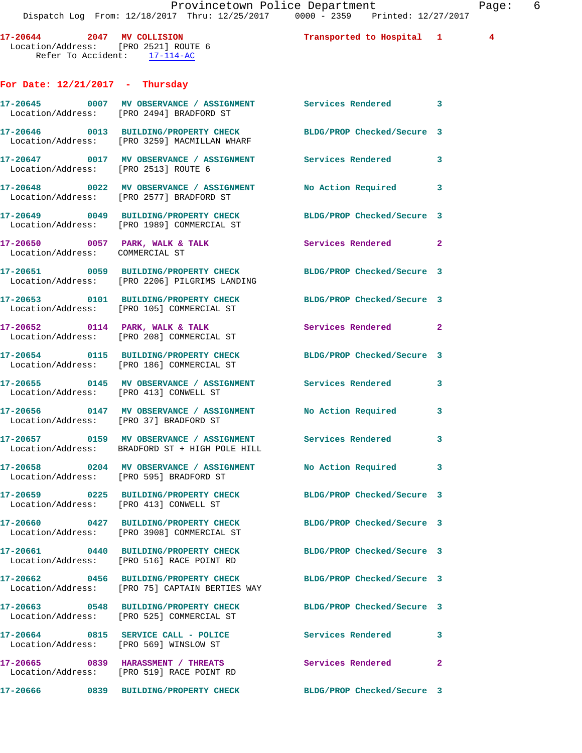**17-20644 2047 MV COLLISION Transported to Hospital 1 4**  Location/Address: [PRO 2521] ROUTE 6 Refer To Accident: 17-114-AC **For Date: 12/21/2017 - Thursday 17-20645 0007 MV OBSERVANCE / ASSIGNMENT Services Rendered 3**  Location/Address: [PRO 2494]

**17-20665 0839 HARASSMENT / THREATS Services Rendered 2**  Location/Address: [PRO 519] RACE POINT RD

|                                        | 17-20645 0007 MV OBSERVANCE / ASSIGNMENT Services Rendered 3<br>Location/Address: [PRO 2494] BRADFORD ST     |                            |              |
|----------------------------------------|--------------------------------------------------------------------------------------------------------------|----------------------------|--------------|
|                                        | 17-20646 0013 BUILDING/PROPERTY CHECK<br>Location/Address: [PRO 3259] MACMILLAN WHARF                        | BLDG/PROP Checked/Secure 3 |              |
| Location/Address: [PRO 2513] ROUTE 6   | 17-20647 0017 MV OBSERVANCE / ASSIGNMENT Services Rendered                                                   |                            | 3            |
|                                        | 17-20648 0022 MV OBSERVANCE / ASSIGNMENT<br>Location/Address: [PRO 2577] BRADFORD ST                         | No Action Required         | 3            |
|                                        | 17-20649 0049 BUILDING/PROPERTY CHECK<br>Location/Address: [PRO 1989] COMMERCIAL ST                          | BLDG/PROP Checked/Secure 3 |              |
| Location/Address: COMMERCIAL ST        | $17-20650$ 0057 PARK, WALK & TALK                                                                            | Services Rendered          | $\mathbf{2}$ |
|                                        | 17-20651 0059 BUILDING/PROPERTY CHECK<br>Location/Address: [PRO 2206] PILGRIMS LANDING                       | BLDG/PROP Checked/Secure 3 |              |
|                                        | 17-20653 0101 BUILDING/PROPERTY CHECK<br>Location/Address: [PRO 105] COMMERCIAL ST                           | BLDG/PROP Checked/Secure 3 |              |
|                                        | $17-20652$ 0114 PARK, WALK & TALK<br>Location/Address: [PRO 208] COMMERCIAL ST                               | Services Rendered          | $\mathbf{2}$ |
|                                        | 17-20654 0115 BUILDING/PROPERTY CHECK<br>Location/Address: [PRO 186] COMMERCIAL ST                           | BLDG/PROP Checked/Secure 3 |              |
| Location/Address:                      | 17-20655 0145 MV OBSERVANCE / ASSIGNMENT Services Rendered<br>[PRO 413] CONWELL ST                           |                            | 3            |
| Location/Address: [PRO 37] BRADFORD ST | 17-20656 0147 MV OBSERVANCE / ASSIGNMENT                                                                     | No Action Required         | 3            |
|                                        | 17-20657 0159 MV OBSERVANCE / ASSIGNMENT Services Rendered<br>Location/Address: BRADFORD ST + HIGH POLE HILL |                            | 3            |
|                                        | 17-20658 0204 MV OBSERVANCE / ASSIGNMENT No Action Required<br>Location/Address: [PRO 595] BRADFORD ST       |                            | 3            |
| Location/Address: [PRO 413] CONWELL ST | 17-20659 0225 BUILDING/PROPERTY CHECK                                                                        | BLDG/PROP Checked/Secure 3 |              |
|                                        | 17-20660 0427 BUILDING/PROPERTY CHECK<br>Location/Address: [PRO 3908] COMMERCIAL ST                          | BLDG/PROP Checked/Secure 3 |              |
|                                        | 17-20661 0440 BUILDING/PROPERTY CHECK<br>Location/Address: [PRO 516] RACE POINT RD                           | BLDG/PROP Checked/Secure 3 |              |
|                                        | 17-20662  0456 BUILDING/PROPERTY CHECK<br>Location/Address: [PRO 75] CAPTAIN BERTIES WAY                     | BLDG/PROP Checked/Secure 3 |              |
|                                        | 17-20663 0548 BUILDING/PROPERTY CHECK<br>Location/Address: [PRO 525] COMMERCIAL ST                           | BLDG/PROP Checked/Secure 3 |              |
|                                        | 17-20664 0815 SERVICE CALL - POLICE<br>Location/Address: [PRO 569] WINSLOW ST                                | Services Rendered          | 3            |

**17-20666 0839 BUILDING/PROPERTY CHECK BLDG/PROP Checked/Secure 3**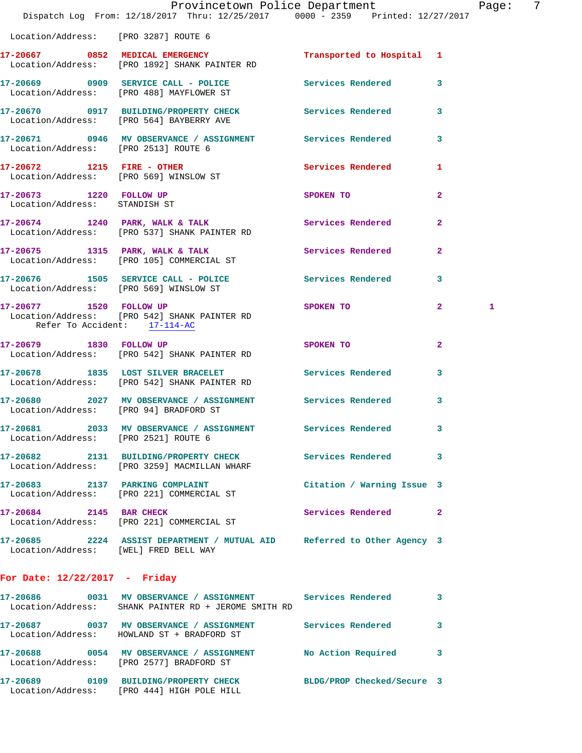|                                        | Provincetown Police Department Page: 7<br>Dispatch Log From: 12/18/2017 Thru: 12/25/2017 0000 - 2359 Printed: 12/27/2017 |                                                                                 |                |   |  |
|----------------------------------------|--------------------------------------------------------------------------------------------------------------------------|---------------------------------------------------------------------------------|----------------|---|--|
| Location/Address: [PRO 3287] ROUTE 6   |                                                                                                                          |                                                                                 |                |   |  |
|                                        | 17-20667 0852 MEDICAL EMERGENCY Transported to Hospital 1 Location/Address: [PRO 1892] SHANK PAINTER RD                  |                                                                                 |                |   |  |
|                                        | 17-20669 0909 SERVICE CALL - POLICE Services Rendered 3<br>Location/Address: [PRO 488] MAYFLOWER ST                      |                                                                                 |                |   |  |
|                                        | 17-20670 0917 BUILDING/PROPERTY CHECK Services Rendered<br>Location/Address: [PRO 564] BAYBERRY AVE                      |                                                                                 | 3              |   |  |
|                                        | 17-20671 0946 MV OBSERVANCE / ASSIGNMENT Services Rendered<br>Location/Address: [PRO 2513] ROUTE 6                       |                                                                                 | 3              |   |  |
|                                        | 17-20672 1215 FIRE - OTHER<br>Location/Address: [PRO 569] WINSLOW ST                                                     | Services Rendered 1                                                             |                |   |  |
| Location/Address: STANDISH ST          | 17-20673 1220 FOLLOW UP                                                                                                  | SPOKEN TO                                                                       | $\overline{2}$ |   |  |
|                                        | 17-20674 1240 PARK, WALK & TALK Services Rendered<br>Location/Address: [PRO 537] SHANK PAINTER RD                        |                                                                                 | $\overline{2}$ |   |  |
|                                        | 17-20675 1315 PARK, WALK & TALK Services Rendered<br>Location/Address: [PRO 105] COMMERCIAL ST                           |                                                                                 | $\overline{2}$ |   |  |
|                                        | 17-20676 1505 SERVICE CALL - POLICE 30 Services Rendered<br>Location/Address: [PRO 569] WINSLOW ST                       |                                                                                 | 3              |   |  |
| Refer To Accident: 17-114-AC           | 17-20677 1520 FOLLOW UP SPOKEN TO<br>Location/Address: [PRO 542] SHANK PAINTER RD                                        |                                                                                 | $\mathbf{2}$   | 1 |  |
|                                        | 17-20679 1830 FOLLOW UP<br>Location/Address: [PRO 542] SHANK PAINTER RD                                                  | SPOKEN TO AND TO A TABLE TO A TABLE TO A TABLE TO A TABLE TO A TABLE TO A TABLE | $\overline{2}$ |   |  |
|                                        | 17-20678 1835 LOST SILVER BRACELET Services Rendered<br>Location/Address: [PRO 542] SHANK PAINTER RD                     |                                                                                 | 3              |   |  |
| Location/Address: [PRO 94] BRADFORD ST | 17-20680 2027 MV OBSERVANCE / ASSIGNMENT Services Rendered                                                               |                                                                                 | 3              |   |  |
| Location/Address: [PRO 2521] ROUTE 6   | 17-20681 2033 MV OBSERVANCE / ASSIGNMENT Services Rendered                                                               |                                                                                 | 3              |   |  |
|                                        | 17-20682 2131 BUILDING/PROPERTY CHECK Services Rendered 3<br>Location/Address: [PRO 3259] MACMILLAN WHARF                |                                                                                 |                |   |  |
|                                        | 17-20683 2137 PARKING COMPLAINT<br>Location/Address: [PRO 221] COMMERCIAL ST                                             | Citation / Warning Issue 3                                                      |                |   |  |
| 17-20684 2145 BAR CHECK                | Location/Address: [PRO 221] COMMERCIAL ST                                                                                | <b>Services Rendered</b> 2                                                      |                |   |  |
| Location/Address: [WEL] FRED BELL WAY  | 17-20685 2224 ASSIST DEPARTMENT / MUTUAL AID Referred to Other Agency 3                                                  |                                                                                 |                |   |  |
| For Date: $12/22/2017$ - Friday        |                                                                                                                          |                                                                                 |                |   |  |
|                                        | 17-20686 0031 MV OBSERVANCE / ASSIGNMENT Services Rendered<br>Location/Address: SHANK PAINTER RD + JEROME SMITH RD       |                                                                                 | 3              |   |  |
|                                        | 17-20687 0037 MV OBSERVANCE / ASSIGNMENT Services Rendered<br>Location/Address: HOWLAND ST + BRADFORD ST                 |                                                                                 | 3              |   |  |
|                                        | 17-20688 0054 MV OBSERVANCE / ASSIGNMENT No Action Required<br>Location/Address: [PRO 2577] BRADFORD ST                  |                                                                                 | 3              |   |  |
|                                        | 17-20689 0109 BUILDING/PROPERTY CHECK BLDG/PROP Checked/Secure 3<br>Location/Address: [PRO 444] HIGH POLE HILL           |                                                                                 |                |   |  |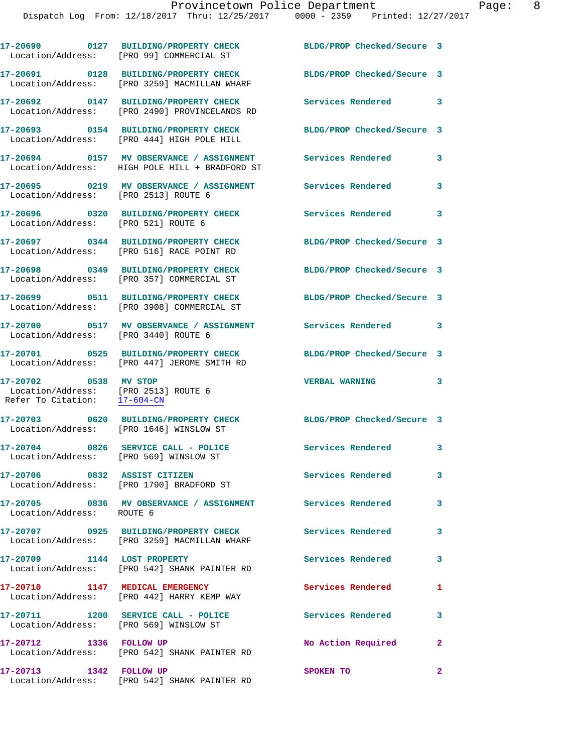|                                                                                               | 17-20690 0127 BUILDING/PROPERTY CHECK<br>Location/Address: [PRO 99] COMMERCIAL ST          | BLDG/PROP Checked/Secure 3 |              |
|-----------------------------------------------------------------------------------------------|--------------------------------------------------------------------------------------------|----------------------------|--------------|
| Location/Address:                                                                             | 17-20691 0128 BUILDING/PROPERTY CHECK<br>[PRO 3259] MACMILLAN WHARF                        | BLDG/PROP Checked/Secure 3 |              |
|                                                                                               | 17-20692 0147 BUILDING/PROPERTY CHECK<br>Location/Address: [PRO 2490] PROVINCELANDS RD     | Services Rendered 3        |              |
| Location/Address:                                                                             | 17-20693 0154 BUILDING/PROPERTY CHECK<br>[PRO 444] HIGH POLE HILL                          | BLDG/PROP Checked/Secure 3 |              |
|                                                                                               | 17-20694 0157 MV OBSERVANCE / ASSIGNMENT<br>Location/Address: HIGH POLE HILL + BRADFORD ST | Services Rendered          | 3            |
| Location/Address:                                                                             | 17-20695 0219 MV OBSERVANCE / ASSIGNMENT Services Rendered<br>[PRO 2513] ROUTE 6           |                            | 3            |
| Location/Address: [PRO 521] ROUTE 6                                                           | 17-20696 0320 BUILDING/PROPERTY CHECK Services Rendered 3                                  |                            |              |
|                                                                                               | 17-20697 0344 BUILDING/PROPERTY CHECK<br>Location/Address: [PRO 516] RACE POINT RD         | BLDG/PROP Checked/Secure 3 |              |
|                                                                                               | 17-20698 0349 BUILDING/PROPERTY CHECK<br>Location/Address: [PRO 357] COMMERCIAL ST         | BLDG/PROP Checked/Secure 3 |              |
|                                                                                               | 17-20699 0511 BUILDING/PROPERTY CHECK<br>Location/Address: [PRO 3908] COMMERCIAL ST        | BLDG/PROP Checked/Secure 3 |              |
| Location/Address: [PRO 3440] ROUTE 6                                                          | 17-20700 0517 MV OBSERVANCE / ASSIGNMENT                                                   | Services Rendered          | 3            |
| Location/Address:                                                                             | 17-20701 0525 BUILDING/PROPERTY CHECK<br>[PRO 447] JEROME SMITH RD                         | BLDG/PROP Checked/Secure 3 |              |
| 17-20702 0538 MV STOP<br>Location/Address: [PRO 2513] ROUTE 6<br>Refer To Citation: 17-604-CN |                                                                                            | <b>VERBAL WARNING</b>      | 3            |
|                                                                                               | 17-20703 0620 BUILDING/PROPERTY CHECK<br>Location/Address: [PRO 1646] WINSLOW ST           | BLDG/PROP Checked/Secure 3 |              |
| Location/Address: [PRO 569] WINSLOW ST                                                        | 17-20704 0826 SERVICE CALL - POLICE                                                        | <b>Services Rendered</b>   | 3            |
|                                                                                               | 17-20706 0832 ASSIST CITIZEN<br>Location/Address: [PRO 1790] BRADFORD ST                   | <b>Services Rendered</b>   | 3            |
| Location/Address: ROUTE 6                                                                     | 17-20705 0836 MV OBSERVANCE / ASSIGNMENT Services Rendered                                 |                            | $\mathbf{3}$ |
|                                                                                               | 17-20707 0925 BUILDING/PROPERTY CHECK<br>Location/Address: [PRO 3259] MACMILLAN WHARF      | Services Rendered          | 3            |
| 17-20709 1144 LOST PROPERTY                                                                   | Location/Address: [PRO 542] SHANK PAINTER RD                                               | Services Rendered          | 3            |
|                                                                                               | 17-20710 1147 MEDICAL EMERGENCY<br>Location/Address: [PRO 442] HARRY KEMP WAY              | Services Rendered          | 1            |
| Location/Address: [PRO 569] WINSLOW ST                                                        | 17-20711 1200 SERVICE CALL - POLICE                                                        | <b>Services Rendered</b>   | 3            |
| 17-20712 1336 FOLLOW UP                                                                       | Location/Address: [PRO 542] SHANK PAINTER RD                                               | No Action Required         | $\mathbf{2}$ |
| 17-20713 1342 FOLLOW UP                                                                       |                                                                                            | SPOKEN TO                  | $\mathbf{2}$ |

Location/Address: [PRO 542] SHANK PAINTER RD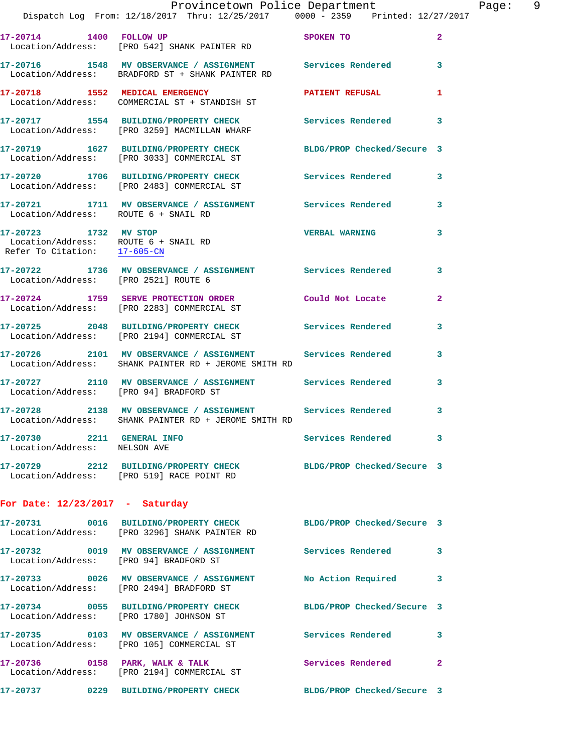|                   |      |           |                            | Provincetown Police Department                                                 |  | Page: | 9 |
|-------------------|------|-----------|----------------------------|--------------------------------------------------------------------------------|--|-------|---|
|                   |      |           |                            | Dispatch Log From: 12/18/2017 Thru: 12/25/2017 0000 - 2359 Printed: 12/27/2017 |  |       |   |
| 17-20714          | 1400 | FOLLOW UP |                            | SPOKEN TO                                                                      |  |       |   |
| Location/Address: |      |           | [PRO 542] SHANK PAINTER RD |                                                                                |  |       |   |

**17-20716 1548 MV OBSERVANCE / ASSIGNMENT Services Rendered 3**  Location/Address: BRADFORD ST + SHANK PAINTER RD **17-20718 1552 MEDICAL EMERGENCY PATIENT REFUSAL 1**  Location/Address: COMMERCIAL ST + STANDISH ST

**17-20717 1554 BUILDING/PROPERTY CHECK Services Rendered 3**  Location/Address: [PRO 3259] MACMILLAN WHARF

**17-20719 1627 BUILDING/PROPERTY CHECK BLDG/PROP Checked/Secure 3**  Location/Address: [PRO 3033] COMMERCIAL ST

**17-20720 1706 BUILDING/PROPERTY CHECK Services Rendered 3**  Location/Address: [PRO 2483] COMMERCIAL ST

**17-20721 1711 MV OBSERVANCE / ASSIGNMENT Services Rendered 3**  Location/Address: ROUTE 6 + SNAIL RD

**17-20723 1732 MV STOP VERBAL WARNING 3**  Location/Address: ROUTE 6 + SNAIL RD Refer To Citation: 17-605-CN

**17-20722 1736 MV OBSERVANCE / ASSIGNMENT Services Rendered 3**  Location/Address: [PRO 2521] ROUTE 6

**17-20724 1759 SERVE PROTECTION ORDER Could Not Locate 2**  Location/Address: [PRO 2283] COMMERCIAL ST

**17-20725 2048 BUILDING/PROPERTY CHECK Services Rendered 3**  Location/Address: [PRO 2194] COMMERCIAL ST

**17-20726 2101 MV OBSERVANCE / ASSIGNMENT Services Rendered 3**  Location/Address: SHANK PAINTER RD + JEROME SMITH RD

**17-20727 2110 MV OBSERVANCE / ASSIGNMENT Services Rendered 3**  Location/Address: [PRO 94] BRADFORD ST

**17-20728 2138 MV OBSERVANCE / ASSIGNMENT Services Rendered 3**  Location/Address: SHANK PAINTER RD + JEROME SMITH RD

**17-20730 2211 GENERAL INFO Services Rendered 3**  Location/Address: NELSON AVE

**17-20729 2212 BUILDING/PROPERTY CHECK BLDG/PROP Checked/Secure 3**  Location/Address: [PRO 519] RACE POINT RD

## **For Date: 12/23/2017 - Saturday**

|                                       | 17-20731  0016 BUILDING/PROPERTY CHECK<br>Location/Address: [PRO 3296] SHANK PAINTER RD | BLDG/PROP Checked/Secure 3 |              |
|---------------------------------------|-----------------------------------------------------------------------------------------|----------------------------|--------------|
| 0019<br>17-20732<br>Location/Address: | MV OBSERVANCE / ASSIGNMENT<br>[PRO 94] BRADFORD ST                                      | Services Rendered          | 3            |
| 17-20733 0026<br>Location/Address:    | MV OBSERVANCE / ASSIGNMENT<br>[PRO 2494] BRADFORD ST                                    | No Action Required         | 3            |
| Location/Address:                     | 17-20734 0055 BUILDING/PROPERTY CHECK<br>FPRO 17801 JOHNSON ST                          | BLDG/PROP Checked/Secure 3 |              |
| Location/Address:                     | [PRO 105] COMMERCIAL ST                                                                 | Services Rendered          | 3            |
| Location/Address:                     | [PRO 2194] COMMERCIAL ST                                                                | Services Rendered          | $\mathbf{2}$ |
| 17-20737<br>0229                      | <b>BUILDING/PROPERTY CHECK</b>                                                          | BLDG/PROP Checked/Secure 3 |              |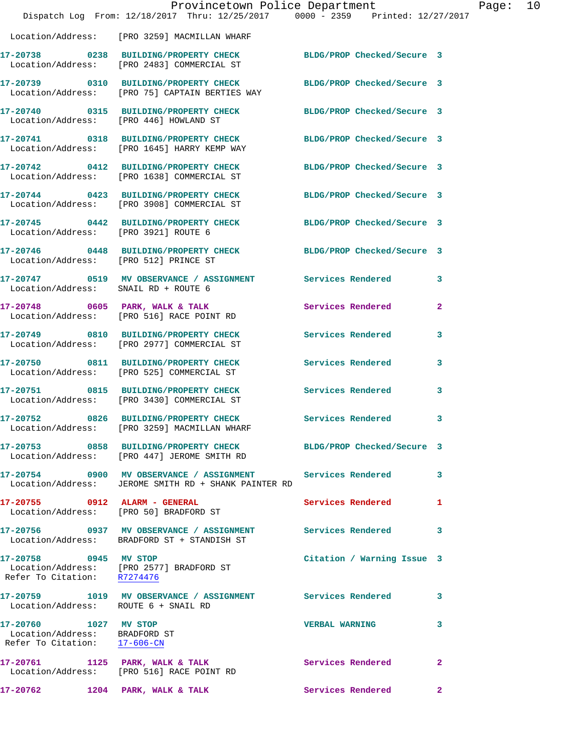|                                                                                        | Dispatch Log From: 12/18/2017 Thru: 12/25/2017 0000 - 2359 Printed: 12/27/2017                                       | Provincetown Police Department | Page: 10     |
|----------------------------------------------------------------------------------------|----------------------------------------------------------------------------------------------------------------------|--------------------------------|--------------|
|                                                                                        | Location/Address: [PRO 3259] MACMILLAN WHARF                                                                         |                                |              |
|                                                                                        | 17-20738 0238 BUILDING/PROPERTY CHECK BLDG/PROP Checked/Secure 3<br>Location/Address: [PRO 2483] COMMERCIAL ST       |                                |              |
|                                                                                        | 17-20739 0310 BUILDING/PROPERTY CHECK BLDG/PROP Checked/Secure 3<br>Location/Address: [PRO 75] CAPTAIN BERTIES WAY   |                                |              |
| Location/Address: [PRO 446] HOWLAND ST                                                 | 17-20740 0315 BUILDING/PROPERTY CHECK BLDG/PROP Checked/Secure 3                                                     |                                |              |
|                                                                                        | 17-20741 0318 BUILDING/PROPERTY CHECK BLDG/PROP Checked/Secure 3<br>Location/Address: [PRO 1645] HARRY KEMP WAY      |                                |              |
|                                                                                        | 17-20742 0412 BUILDING/PROPERTY CHECK BLDG/PROP Checked/Secure 3<br>Location/Address: [PRO 1638] COMMERCIAL ST       |                                |              |
|                                                                                        | 17-20744 0423 BUILDING/PROPERTY CHECK<br>Location/Address: [PRO 3908] COMMERCIAL ST                                  | BLDG/PROP Checked/Secure 3     |              |
| Location/Address: [PRO 3921] ROUTE 6                                                   | 17-20745 0442 BUILDING/PROPERTY CHECK BLDG/PROP Checked/Secure 3                                                     |                                |              |
|                                                                                        | 17-20746 0448 BUILDING/PROPERTY CHECK BLDG/PROP Checked/Secure 3<br>Location/Address: [PRO 512] PRINCE ST            |                                |              |
| Location/Address: SNAIL RD + ROUTE 6                                                   | 17-20747 0519 MV OBSERVANCE / ASSIGNMENT Services Rendered                                                           |                                | 3            |
|                                                                                        | 17-20748 0605 PARK, WALK & TALK<br>Location/Address: [PRO 516] RACE POINT RD                                         | <b>Services Rendered</b>       | $\mathbf{2}$ |
|                                                                                        | 17-20749 0810 BUILDING/PROPERTY CHECK<br>Location/Address: [PRO 2977] COMMERCIAL ST                                  | Services Rendered              | 3            |
|                                                                                        | 17-20750 0811 BUILDING/PROPERTY CHECK<br>Location/Address: [PRO 525] COMMERCIAL ST                                   | Services Rendered              | $\mathbf{3}$ |
|                                                                                        | 17-20751 0815 BUILDING/PROPERTY CHECK<br>Location/Address: [PRO 3430] COMMERCIAL ST                                  | Services Rendered              | 3            |
|                                                                                        | 17-20752 0826 BUILDING/PROPERTY CHECK Services Rendered<br>Location/Address: [PRO 3259] MACMILLAN WHARF              |                                | $\mathbf{3}$ |
|                                                                                        | 17-20753 0858 BUILDING/PROPERTY CHECK BLDG/PROP Checked/Secure 3<br>Location/Address: [PRO 447] JEROME SMITH RD      |                                |              |
|                                                                                        | 17-20754 0900 MV OBSERVANCE / ASSIGNMENT Services Rendered 3<br>Location/Address: JEROME SMITH RD + SHANK PAINTER RD |                                |              |
|                                                                                        | 17-20755 0912 ALARM - GENERAL<br>Location/Address: [PRO 50] BRADFORD ST                                              | Services Rendered              | 1            |
|                                                                                        | Location/Address: BRADFORD ST + STANDISH ST                                                                          |                                | 3            |
| 17-20758 0945 MV STOP<br>Refer To Citation: R7274476                                   | Location/Address: [PRO 2577] BRADFORD ST                                                                             | Citation / Warning Issue 3     |              |
| Location/Address: ROUTE 6 + SNAIL RD                                                   | 17-20759 1019 MV OBSERVANCE / ASSIGNMENT Services Rendered 3                                                         |                                |              |
| 17-20760 1027 MV STOP<br>Location/Address: BRADFORD ST<br>Refer To Citation: 17-606-CN |                                                                                                                      | <b>VERBAL WARNING</b>          | 3            |
|                                                                                        | 17-20761 1125 PARK, WALK & TALK<br>Location/Address: [PRO 516] RACE POINT RD                                         | Services Rendered              | 2            |
| 17-20762 1204 PARK, WALK & TALK                                                        |                                                                                                                      | Services Rendered              | $\mathbf{2}$ |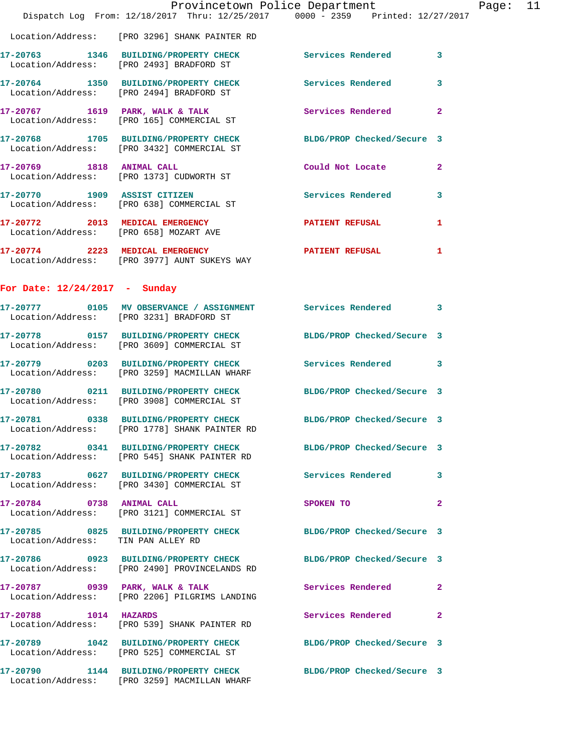|                                    | Dispatch Log From: 12/18/2017 Thru: 12/25/2017 0000 - 2359 Printed: 12/27/2017                                    | Provincetown Police Department |              | Page: 11 |  |
|------------------------------------|-------------------------------------------------------------------------------------------------------------------|--------------------------------|--------------|----------|--|
|                                    | Location/Address: [PRO 3296] SHANK PAINTER RD                                                                     |                                |              |          |  |
|                                    | 17-20763 1346 BUILDING/PROPERTY CHECK Services Rendered 3<br>Location/Address: [PRO 2493] BRADFORD ST             |                                |              |          |  |
|                                    | 17-20764 1350 BUILDING/PROPERTY CHECK Services Rendered 3<br>Location/Address: [PRO 2494] BRADFORD ST             |                                |              |          |  |
|                                    | 17-20767 1619 PARK, WALK & TALK<br>Location/Address: [PRO 165] COMMERCIAL ST                                      | Services Rendered 2            |              |          |  |
|                                    | 17-20768 1705 BUILDING/PROPERTY CHECK BLDG/PROP Checked/Secure 3<br>Location/Address: [PRO 3432] COMMERCIAL ST    |                                |              |          |  |
|                                    | 17-20769 1818 ANIMAL CALL<br>Location/Address: [PRO 1373] CUDWORTH ST                                             | Could Not Locate 2             |              |          |  |
|                                    | 17-20770 1909 ASSIST CITIZEN<br>Location/Address: [PRO 638] COMMERCIAL ST                                         | Services Rendered 3            |              |          |  |
|                                    | 17-20772 2013 MEDICAL EMERGENCY<br>Location/Address: [PRO 658] MOZART AVE                                         | PATIENT REFUSAL 1              |              |          |  |
|                                    | 17-20774 2223 MEDICAL EMERGENCY<br>Location/Address: [PRO 3977] AUNT SUKEYS WAY                                   | PATIENT REFUSAL                | 1            |          |  |
| For Date: $12/24/2017$ - Sunday    |                                                                                                                   |                                |              |          |  |
|                                    | 17-20777 0105 MV OBSERVANCE / ASSIGNMENT Services Rendered 3<br>Location/Address: [PRO 3231] BRADFORD ST          |                                |              |          |  |
|                                    | 17-20778 0157 BUILDING/PROPERTY CHECK BLDG/PROP Checked/Secure 3<br>Location/Address: [PRO 3609] COMMERCIAL ST    |                                |              |          |  |
|                                    | 17-20779 0203 BUILDING/PROPERTY CHECK Services Rendered 3<br>Location/Address: [PRO 3259] MACMILLAN WHARF         |                                |              |          |  |
|                                    | 17-20780 0211 BUILDING/PROPERTY CHECK BLDG/PROP Checked/Secure 3<br>Location/Address: [PRO 3908] COMMERCIAL ST    |                                |              |          |  |
| 17-20781                           | 0338 BUILDING/PROPERTY CHECK<br>Location/Address: [PRO 1778] SHANK PAINTER RD                                     | BLDG/PROP Checked/Secure 3     |              |          |  |
|                                    | 17-20782 0341 BUILDING/PROPERTY CHECK BLDG/PROP Checked/Secure 3<br>Location/Address: [PRO 545] SHANK PAINTER RD  |                                |              |          |  |
|                                    | 17-20783 0627 BUILDING/PROPERTY CHECK Services Rendered 3<br>Location/Address: [PRO 3430] COMMERCIAL ST           |                                |              |          |  |
|                                    | 17-20784 0738 ANIMAL CALL<br>Location/Address: [PRO 3121] COMMERCIAL ST                                           | SPOKEN TO                      | $\mathbf{2}$ |          |  |
| Location/Address: TIN PAN ALLEY RD | 17-20785 0825 BUILDING/PROPERTY CHECK BLDG/PROP Checked/Secure 3                                                  |                                |              |          |  |
|                                    | 17-20786 0923 BUILDING/PROPERTY CHECK BLDG/PROP Checked/Secure 3<br>Location/Address: [PRO 2490] PROVINCELANDS RD |                                |              |          |  |
|                                    | 17-20787 0939 PARK, WALK & TALK<br>Location/Address: [PRO 2206] PILGRIMS LANDING                                  | <b>Services Rendered</b> 2     |              |          |  |
| 17-20788 1014 HAZARDS              | Location/Address: [PRO 539] SHANK PAINTER RD                                                                      | Services Rendered 2            |              |          |  |
|                                    | 17-20789 1042 BUILDING/PROPERTY CHECK BLDG/PROP Checked/Secure 3<br>Location/Address: [PRO 525] COMMERCIAL ST     |                                |              |          |  |
|                                    | 17-20790 1144 BUILDING/PROPERTY CHECK BLDG/PROP Checked/Secure 3<br>Location/Address: [PRO 3259] MACMILLAN WHARF  |                                |              |          |  |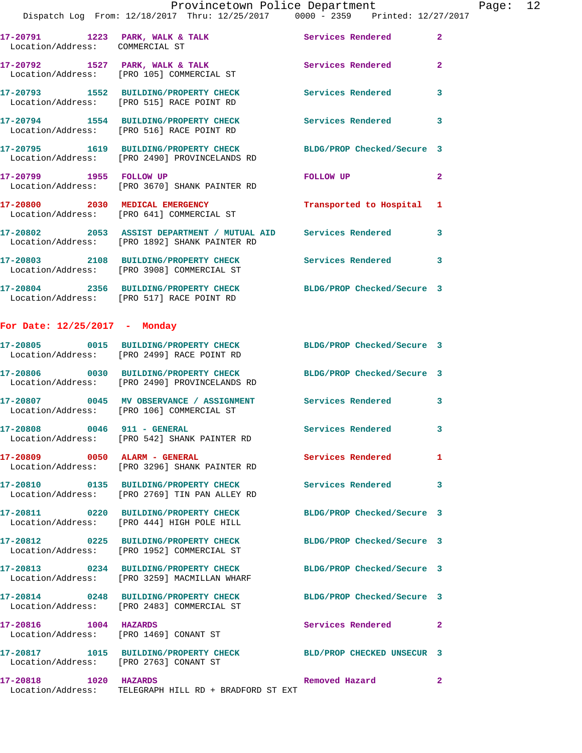Page:  $12$ <br> $7/2017$ 

|                                 | Provincetown Police Department<br>Dispatch Log From: 12/18/2017 Thru: 12/25/2017 0000 - 2359 Printed: 12/27/2017  |                            |                |
|---------------------------------|-------------------------------------------------------------------------------------------------------------------|----------------------------|----------------|
| Location/Address: COMMERCIAL ST | 17-20791 1223 PARK, WALK & TALK 1999 Services Rendered                                                            |                            | $\overline{2}$ |
|                                 | 17-20792 1527 PARK, WALK & TALK<br>Location/Address: [PRO 105] COMMERCIAL ST                                      | Services Rendered          | $\overline{a}$ |
|                                 | 17-20793 1552 BUILDING/PROPERTY CHECK<br>Location/Address: [PRO 515] RACE POINT RD                                | <b>Services Rendered</b>   | 3              |
|                                 | 17-20794 1554 BUILDING/PROPERTY CHECK Services Rendered<br>Location/Address: [PRO 516] RACE POINT RD              |                            | 3              |
|                                 | 17-20795 1619 BUILDING/PROPERTY CHECK<br>Location/Address: [PRO 2490] PROVINCELANDS RD                            | BLDG/PROP Checked/Secure 3 |                |
| 17-20799 1955 FOLLOW UP         | Location/Address: [PRO 3670] SHANK PAINTER RD                                                                     | FOLLOW UP                  | $\mathbf{2}$   |
|                                 | 17-20800 2030 MEDICAL EMERGENCY<br>Location/Address: [PRO 641] COMMERCIAL ST                                      | Transported to Hospital    | 1              |
|                                 | 17-20802 2053 ASSIST DEPARTMENT / MUTUAL AID Services Rendered<br>Location/Address: [PRO 1892] SHANK PAINTER RD   |                            | 3              |
|                                 | 17-20803 2108 BUILDING/PROPERTY CHECK<br>Location/Address: [PRO 3908] COMMERCIAL ST                               | <b>Services Rendered</b>   | 3              |
|                                 | 17-20804 2356 BUILDING/PROPERTY CHECK BLDG/PROP Checked/Secure 3<br>Location/Address: [PRO 517] RACE POINT RD     |                            |                |
| For Date: $12/25/2017$ - Monday |                                                                                                                   |                            |                |
|                                 | 17-20805 0015 BUILDING/PROPERTY CHECK BLDG/PROP Checked/Secure 3<br>Location/Address: [PRO 2499] RACE POINT RD    |                            |                |
|                                 | 17-20806 0030 BUILDING/PROPERTY CHECK BLDG/PROP Checked/Secure 3<br>Location/Address: [PRO 2490] PROVINCELANDS RD |                            |                |
|                                 | 17-20807 0045 MV OBSERVANCE / ASSIGNMENT Services Rendered<br>Location/Address: [PRO 106] COMMERCIAL ST           |                            | 3              |
| 17-20808 0046 911 - GENERAL     | Location/Address: [PRO 542] SHANK PAINTER RD                                                                      | <b>Services Rendered</b>   | 3              |
| 17-20809 0050 ALARM - GENERAL   | Location/Address: [PRO 3296] SHANK PAINTER RD                                                                     | <b>Services Rendered</b>   | 1              |
|                                 | Location/Address: [PRO 2769] TIN PAN ALLEY RD                                                                     | <b>Services Rendered</b>   | 3              |
|                                 | Location/Address: [PRO 444] HIGH POLE HILL                                                                        | BLDG/PROP Checked/Secure 3 |                |
|                                 | Location/Address: [PRO 1952] COMMERCIAL ST                                                                        | BLDG/PROP Checked/Secure 3 |                |
|                                 | 17-20813 0234 BUILDING/PROPERTY CHECK<br>Location/Address: [PRO 3259] MACMILLAN WHARF                             | BLDG/PROP Checked/Secure 3 |                |

**17-20814 0248 BUILDING/PROPERTY CHECK BLDG/PROP Checked/Secure 3**  Location/Address: [PRO 2483] COMMERCIAL ST

**17-20816 1004 HAZARDS Services Rendered 2**  Location/Address: [PRO 1469] CONANT ST

**17-20817 1015 BUILDING/PROPERTY CHECK BLD/PROP CHECKED UNSECUR 3**  Location/Address: [PRO 2763] CONANT ST **17-20818 1020 HAZARDS Removed Hazard 2** 

Location/Address: TELEGRAPH HILL RD + BRADFORD ST EXT